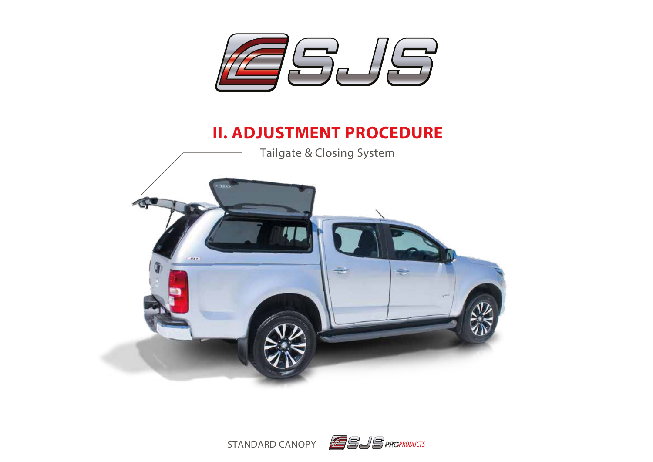

# **II. ADJUSTMENT PROCEDURE**



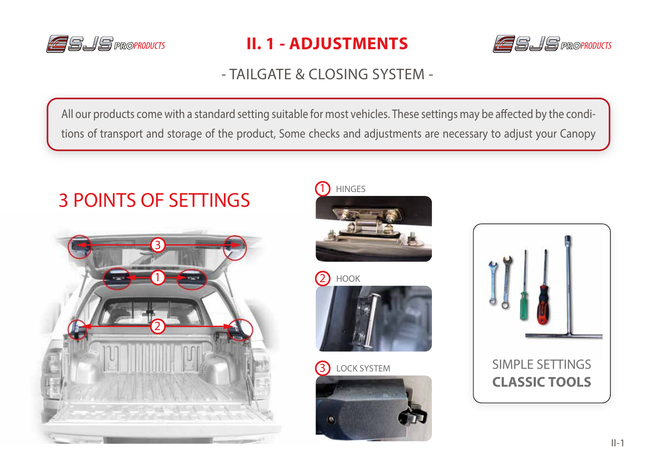

# PROPRODUCTS **II. 1 - ADJUSTMENTS** And **LE**SIS proproducts



### - TAILGATE & CLOSING SYSTEM -

All our products come with a standard setting suitable for most vehicles. These settings may be affected by the conditions of transport and storage of the product, Some checks and adjustments are necessary to adjust your Canopy

# 3 POINTS OF SETTINGS





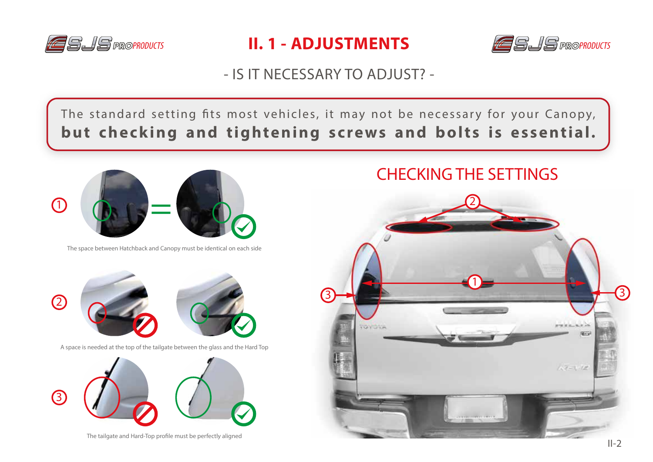





### - IS IT NECESSARY TO ADJUST? -

The standard setting fits most vehicles, it may not be necessary for your Canopy, **but checking and tightening screws and bolts is essential.**



The space between Hatchback and Canopy must be identical on each side



A space is needed at the top of the tailgate between the glass and the Hard Top



The tailgate and Hard-Top profile must be perfectly aligned

### CHECKING THE SETTINGS

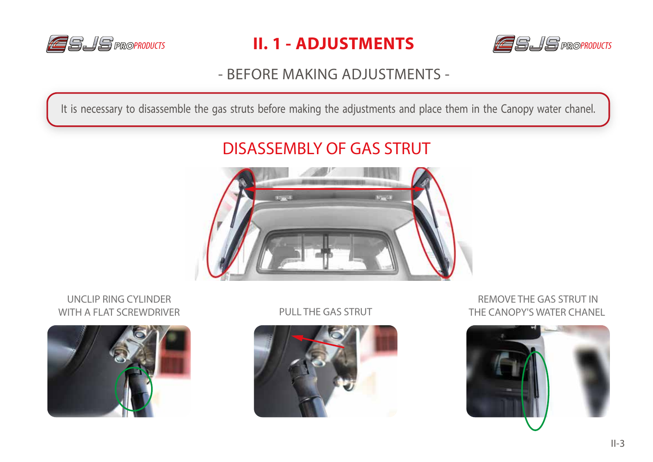





### - BEFORE MAKING ADJUSTMENTS -

It is necessary to disassemble the gas struts before making the adjustments and place them in the Canopy water chanel.

# DISASSEMBLY OF GAS STRUT



UNCLIP RING CYLINDER WITH A FLAT SCREWDRIVER PULL THE GAS STRUT





REMOVE THE GAS STRUT IN THE CANOPY'S WATER CHANEL

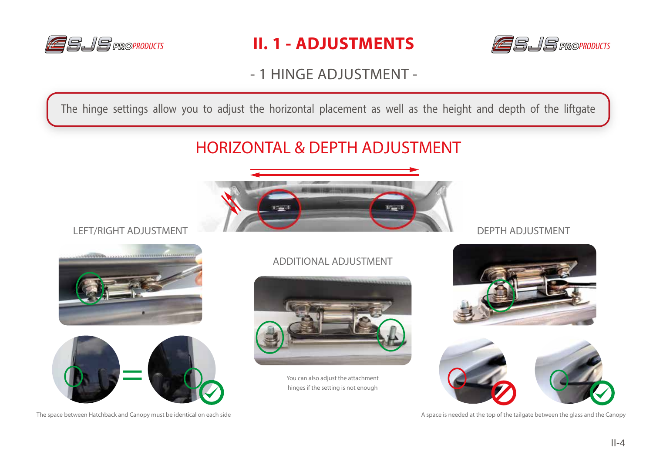





- 1 HINGE ADJUSTMENT -

The hinge settings allow you to adjust the horizontal placement as well as the height and depth of the liftgate

## HORIZONTAL & DEPTH ADJUSTMENT



#### LEFT/RIGHT ADJUSTMENT





#### ADDITIONAL ADJUSTMENT



You can also adjust the attachment hinges if the setting is not enough

#### DEPTH ADJUSTMENT





The space between Hatchback and Canopy must be identical on each side  $\blacksquare$  A space is needed at the top of the tailgate between the glass and the Canopy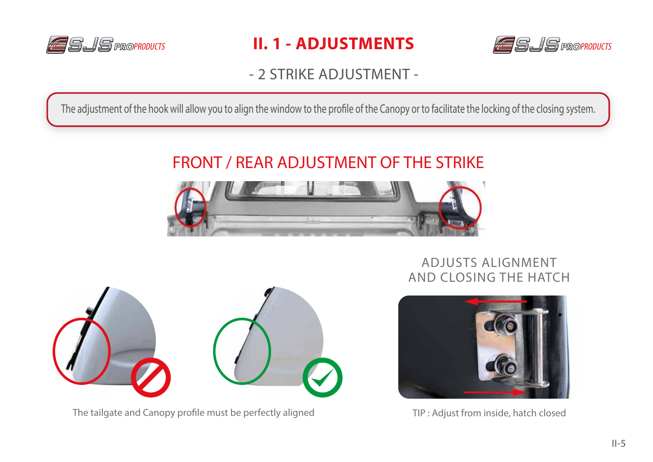





### - 2 STRIKE ADJUSTMENT -

The adjustment of the hook will allow you to align the window to the profile of the Canopy or to facilitate the locking of the closing system.

# FRONT / REAR ADJUSTMENT OF THE STRIKE



#### ADJUSTS ALIGNMENT AND CLOSING THE HATCH



The tailgate and Canopy profile must be perfectly aligned



TIP : Adjust from inside, hatch closed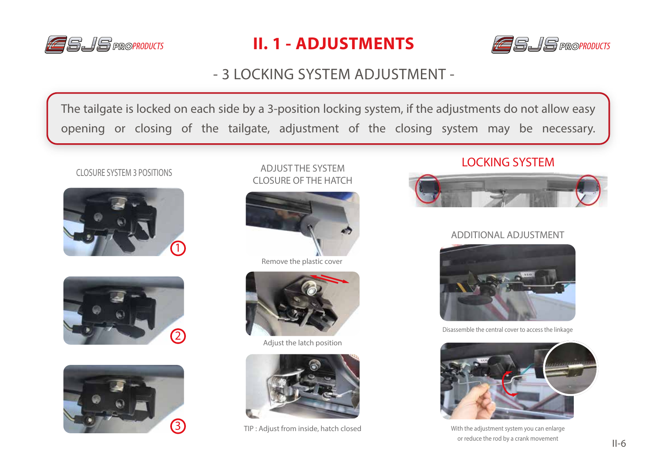

# **PRO**PRODUCTS **PRO**PRODUCTS **II. 1 - ADJUSTMENTS**



### - 3 LOCKING SYSTEM ADJUSTMENT -

The tailgate is locked on each side by a 3-position locking system, if the adjustments do not allow easy opening or closing of the tailgate, adjustment of the closing system may be necessary.

#### CLOSURE SYSTEM 3 POSITIONS







ADJUST THE SYSTEM CLOSURE OF THE HATCH



Remove the plastic cover



Adjust the latch position



TIP : Adjust from inside, hatch closed

#### LOCKING SYSTEM



#### ADDITIONAL ADJUSTMENT



Disassemble the central cover to access the linkage



With the adjustment system you can enlarge or reduce the rod by a crank movement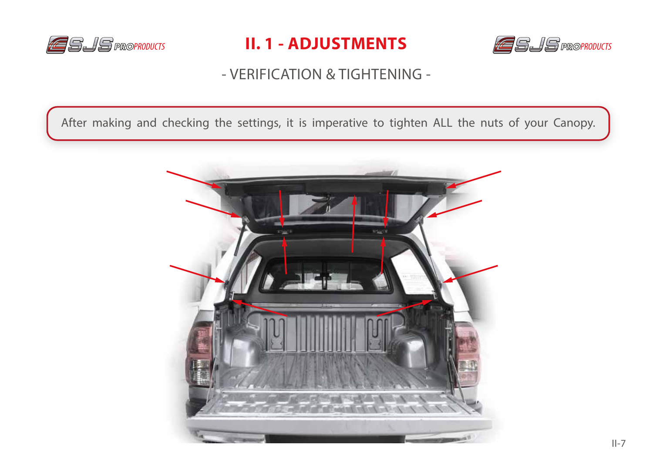





### - VERIFICATION & TIGHTENING -

After making and checking the settings, it is imperative to tighten ALL the nuts of your Canopy.